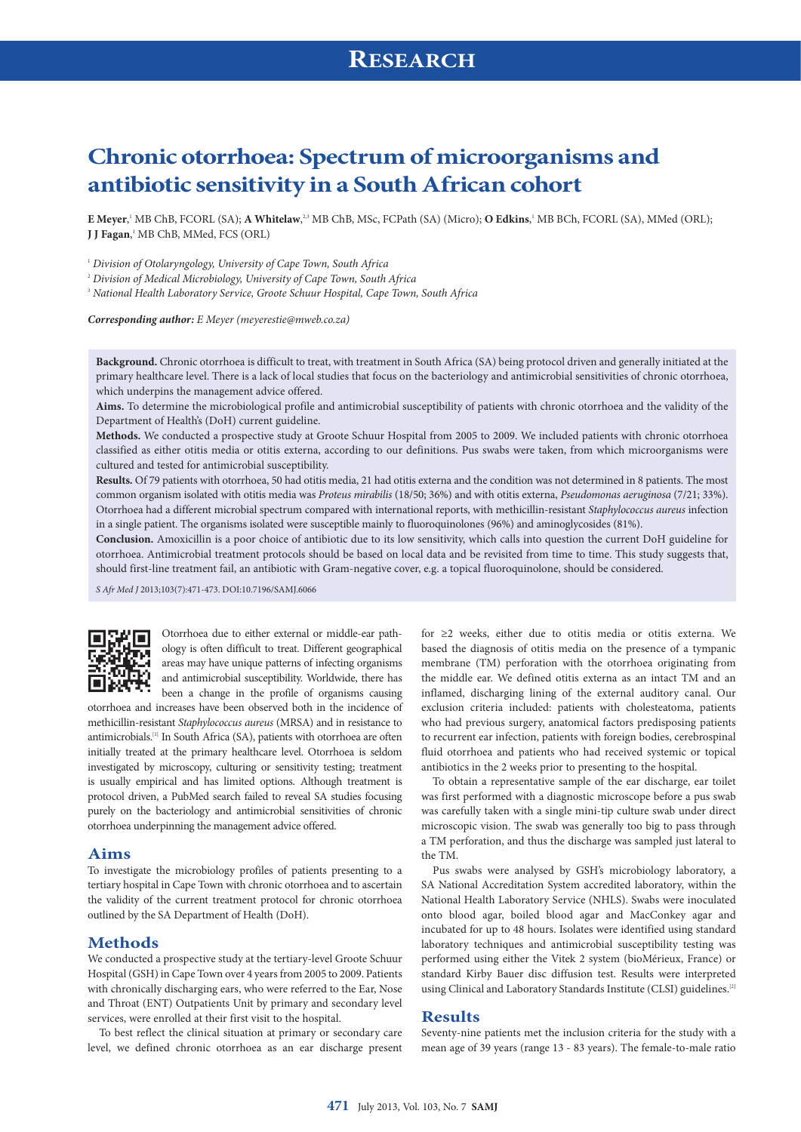# **Chronic otorrhoea: Spectrum of microorganisms and antibiotic sensitivity in a South African cohort**

 $E$  Meyer,<sup>1</sup> MB ChB, FCORL (SA);  $A$  Whitelaw,<sup>2,3</sup> MB ChB, MSc, FCPath (SA) (Micro); O Edkins,<sup>1</sup> MB BCh, FCORL (SA), MMed (ORL); **J J Fagan**,' MB ChB, MMed, FCS (ORL)

<sup>1</sup> *Division of Otolaryngology, University of Cape Town, South Africa*

<sup>2</sup> *Division of Medical Microbiology, University of Cape Town, South Africa*

<sup>3</sup> *National Health Laboratory Service, Groote Schuur Hospital, Cape Town, South Africa*

*Corresponding author: E Meyer ([meyerestie@mweb.co.za\)](mailto:meyerestie@mweb.co.za)*

**Background.** Chronic otorrhoea is difficult to treat, with treatment in South Africa (SA) being protocol driven and generally initiated at the primary healthcare level. There is a lack of local studies that focus on the bacteriology and antimicrobial sensitivities of chronic otorrhoea, which underpins the management advice offered.

**Aims.** To determine the microbiological profile and antimicrobial susceptibility of patients with chronic otorrhoea and the validity of the Department of Health's (DoH) current guideline.

**Methods.** We conducted a prospective study at Groote Schuur Hospital from 2005 to 2009. We included patients with chronic otorrhoea classified as either otitis media or otitis externa, according to our definitions. Pus swabs were taken, from which microorganisms were cultured and tested for antimicrobial susceptibility.

**Results.** Of 79 patients with otorrhoea, 50 had otitis media, 21 had otitis externa and the condition was not determined in 8 patients. The most common organism isolated with otitis media was *Proteus mirabilis* (18/50; 36%) and with otitis externa, *Pseudomonas aeruginosa* (7/21; 33%). Otorrhoea had a different microbial spectrum compared with international reports, with methicillin-resistant *Staphylococcus aureus* infection in a single patient. The organisms isolated were susceptible mainly to fluoroquinolones (96%) and aminoglycosides (81%).

**Conclusion.** Amoxicillin is a poor choice of antibiotic due to its low sensitivity, which calls into question the current DoH guideline for otorrhoea. Antimicrobial treatment protocols should be based on local data and be revisited from time to time. This study suggests that, should first-line treatment fail, an antibiotic with Gram-negative cover, e.g. a topical fluoroquinolone, should be considered.

*S Afr Med J* 2013;103(7):471-473. DOI:10.7196/SAMJ.6066



Otorrhoea due to either external or middle-ear pathology is often difficult to treat. Different geographical areas may have unique patterns of infecting organisms and antimicrobial susceptibility. Worldwide, there has been a change in the profile of organisms causing

otorrhoea and increases have been observed both in the incidence of methicillin-resistant *Staphylococcus aureus* (MRSA) and in resistance to antimicrobials.<sup>[1]</sup> In South Africa (SA), patients with otorrhoea are often initially treated at the primary healthcare level. Otorrhoea is seldom investigated by microscopy, culturing or sensitivity testing; treatment is usually empirical and has limited options. Although treatment is protocol driven, a PubMed search failed to reveal SA studies focusing purely on the bacteriology and antimicrobial sensitivities of chronic otorrhoea underpinning the management advice offered.

### **Aims**

To investigate the microbiology profiles of patients presenting to a tertiary hospital in Cape Town with chronic otorrhoea and to ascertain the validity of the current treatment protocol for chronic otorrhoea outlined by the SA Department of Health (DoH).

### **Methods**

We conducted a prospective study at the tertiary-level Groote Schuur Hospital (GSH) in Cape Town over 4 years from 2005 to 2009. Patients with chronically discharging ears, who were referred to the Ear, Nose and Throat (ENT) Outpatients Unit by primary and secondary level services, were enrolled at their first visit to the hospital.

To best reflect the clinical situation at primary or secondary care level, we defined chronic otorrhoea as an ear discharge present for ≥2 weeks, either due to otitis media or otitis externa. We based the diagnosis of otitis media on the presence of a tympanic membrane (TM) perforation with the otorrhoea originating from the middle ear. We defined otitis externa as an intact TM and an inflamed, discharging lining of the external auditory canal. Our exclusion criteria included: patients with cholesteatoma, patients who had previous surgery, anatomical factors predisposing patients to recurrent ear infection, patients with foreign bodies, cerebrospinal fluid otorrhoea and patients who had received systemic or topical antibiotics in the 2 weeks prior to presenting to the hospital.

To obtain a representative sample of the ear discharge, ear toilet was first performed with a diagnostic microscope before a pus swab was carefully taken with a single mini-tip culture swab under direct microscopic vision. The swab was generally too big to pass through a TM perforation, and thus the discharge was sampled just lateral to the TM.

Pus swabs were analysed by GSH's microbiology laboratory, a SA National Accreditation System accredited laboratory, within the National Health Laboratory Service (NHLS). Swabs were inoculated onto blood agar, boiled blood agar and MacConkey agar and incubated for up to 48 hours. Isolates were identified using standard laboratory techniques and antimicrobial susceptibility testing was performed using either the Vitek 2 system (bioMérieux, France) or standard Kirby Bauer disc diffusion test. Results were interpreted using Clinical and Laboratory Standards Institute (CLSI) guidelines.<sup>[2]</sup>

### **Results**

Seventy-nine patients met the inclusion criteria for the study with a mean age of 39 years (range 13 - 83 years). The female-to-male ratio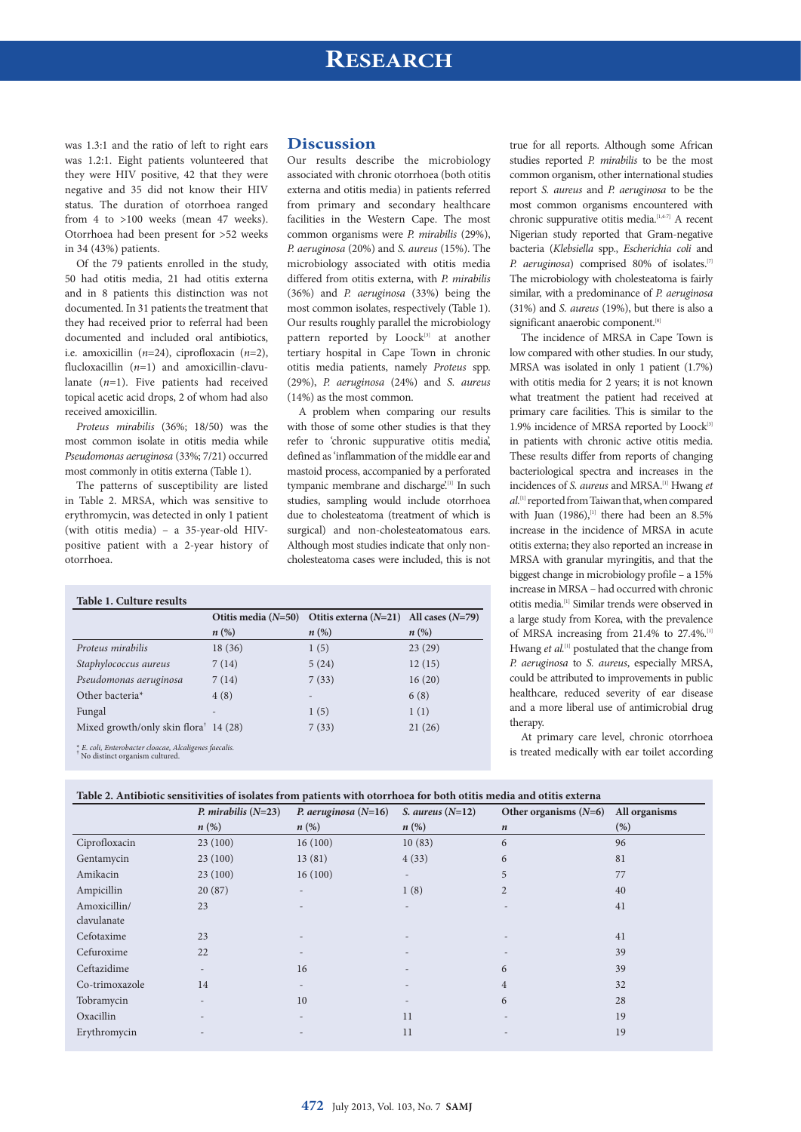## **RESEARCH**

was 1.3:1 and the ratio of left to right ears was 1.2:1. Eight patients volunteered that they were HIV positive, 42 that they were negative and 35 did not know their HIV status. The duration of otorrhoea ranged from 4 to >100 weeks (mean 47 weeks). Otorrhoea had been present for >52 weeks in 34 (43%) patients.

Of the 79 patients enrolled in the study, 50 had otitis media, 21 had otitis externa and in 8 patients this distinction was not documented. In 31 patients the treatment that they had received prior to referral had been documented and included oral antibiotics, i.e. amoxicillin (*n*=24), ciprofloxacin (*n*=2), flucloxacillin (*n*=1) and amoxicillin-clavulanate (*n*=1). Five patients had received topical acetic acid drops, 2 of whom had also received amoxicillin.

*Proteus mirabilis* (36%; 18/50) was the most common isolate in otitis media while *Pseudomonas aeruginosa* (33%; 7/21) occurred most commonly in otitis externa (Table 1).

The patterns of susceptibility are listed in Table 2. MRSA, which was sensitive to erythromycin, was detected in only 1 patient (with otitis media) – a 35-year-old HIVpositive patient with a 2-year history of otorrhoea.

### **Discussion**

Our results describe the microbiology associated with chronic otorrhoea (both otitis externa and otitis media) in patients referred from primary and secondary healthcare facilities in the Western Cape. The most common organisms were *P. mirabilis* (29%), *P. aeruginosa* (20%) and *S. aureus* (15%). The microbiology associated with otitis media differed from otitis externa, with *P. mirabilis*  (36%) and *P. aeruginosa* (33%) being the most common isolates, respectively (Table 1). Our results roughly parallel the microbiology pattern reported by Loock<sup>[3]</sup> at another tertiary hospital in Cape Town in chronic otitis media patients, namely *Proteus* spp. (29%), *P. aeruginosa* (24%) and *S. aureus* (14%) as the most common.

A problem when comparing our results with those of some other studies is that they refer to 'chronic suppurative otitis media', defined as 'inflammation of the middle ear and mastoid process, accompanied by a perforated tympanic membrane and discharge.<sup>[1]</sup> In such studies, sampling would include otorrhoea due to cholesteatoma (treatment of which is surgical) and non-cholesteatomatous ears. Although most studies indicate that only noncholesteatoma cases were included, this is not

true for all reports. Although some African studies reported *P. mirabilis* to be the most common organism, other international studies report *S. aureus* and *P. aeruginosa* to be the most common organisms encountered with chronic suppurative otitis media.<sup>[1,4-7]</sup> A recent Nigerian study reported that Gram-negative bacteria (*Klebsiella* spp., *Escherichia coli* and *P. aeruginosa*) comprised 80% of isolates.<sup>[7]</sup> The microbiology with cholesteatoma is fairly similar, with a predominance of *P. aeruginosa* (31%) and *S. aureus* (19%), but there is also a significant anaerobic component.<sup>[8]</sup>

The incidence of MRSA in Cape Town is low compared with other studies. In our study, MRSA was isolated in only 1 patient (1.7%) with otitis media for 2 years; it is not known what treatment the patient had received at primary care facilities. This is similar to the 1.9% incidence of MRSA reported by Loock<sup>[3]</sup> in patients with chronic active otitis media. These results differ from reports of changing bacteriological spectra and increases in the incidences of *S. aureus* and MRSA.[1] Hwang *et al.*[1] reported from Taiwan that, when compared with Juan  $(1986)$ , <sup>[1]</sup> there had been an 8.5% increase in the incidence of MRSA in acute otitis externa; they also reported an increase in MRSA with granular myringitis, and that the biggest change in microbiology profile – a 15% increase in MRSA – had occurred with chronic otitis media.[1] Similar trends were observed in a large study from Korea, with the prevalence of MRSA increasing from 21.4% to 27.4%.<sup>[1]</sup> Hwang et al.<sup>[1]</sup> postulated that the change from *P. aeruginosa* to *S. aureus*, especially MRSA, could be attributed to improvements in public healthcare, reduced severity of ear disease and a more liberal use of antimicrobial drug therapy.

At primary care level, chronic otorrhoea is treated medically with ear toilet according

| Table 1. Culture results                                                                   |                    |                                                                  |                    |
|--------------------------------------------------------------------------------------------|--------------------|------------------------------------------------------------------|--------------------|
|                                                                                            |                    | Otitis media $(N=50)$ Otitis externa $(N=21)$ All cases $(N=79)$ |                    |
|                                                                                            | $n\left(\%\right)$ | $n\left(\%\right)$                                               | $n\left(\%\right)$ |
| Proteus mirabilis                                                                          | 18 (36)            | 1(5)                                                             | 23(29)             |
| Staphylococcus aureus                                                                      | 7(14)              | 5(24)                                                            | 12(15)             |
| Pseudomonas aeruginosa                                                                     | 7(14)              | 7(33)                                                            | 16(20)             |
| Other bacteria <sup>*</sup>                                                                | 4(8)               |                                                                  | 6(8)               |
| Fungal                                                                                     |                    | 1(5)                                                             | 1(1)               |
| Mixed growth/only skin flora <sup><math>†</math></sup> 14 (28)                             |                    | 7(33)                                                            | 21(26)             |
| $* E. coli, Enterobacter cloacae, Alcaligenes facalis.$ $*$ No distinct organism cultured. |                    |                                                                  |                    |

**Table 2. Antibiotic sensitivities of isolates from patients with otorrhoea for both otitis media and otitis externa** 

|                | P. mirabilis $(N=23)$    | P. aeruginosa $(N=16)$   | S. aureus $(N=12)$       | Other organisms $(N=6)$ | All organisms |
|----------------|--------------------------|--------------------------|--------------------------|-------------------------|---------------|
|                | $n\left(\%\right)$       | $n\left(\%\right)$       | $n\left(\%\right)$       | $\boldsymbol{n}$        | (%)           |
| Ciprofloxacin  | 23(100)                  | 16(100)                  | 10(83)                   | 6                       | 96            |
| Gentamycin     | 23(100)                  | 13(81)                   | 4(33)                    | 6                       | 81            |
| Amikacin       | 23(100)                  | 16(100)                  | $\overline{\phantom{a}}$ | 5                       | 77            |
| Ampicillin     | 20(87)                   | $\overline{\phantom{0}}$ | 1(8)                     | $\overline{2}$          | 40            |
| Amoxicillin/   | 23                       |                          | $\overline{\phantom{a}}$ |                         | 41            |
| clavulanate    |                          |                          |                          |                         |               |
| Cefotaxime     | 23                       |                          | $\qquad \qquad$          |                         | 41            |
| Cefuroxime     | 22                       | $\qquad \qquad -$        | $\qquad \qquad$          | $\qquad \qquad$         | 39            |
| Ceftazidime    | $\overline{\phantom{a}}$ | 16                       | $\overline{\phantom{a}}$ | 6                       | 39            |
| Co-trimoxazole | 14                       | $\qquad \qquad -$        | $\overline{\phantom{0}}$ | $\overline{4}$          | 32            |
| Tobramycin     | $\overline{\phantom{a}}$ | 10                       | $\qquad \qquad$          | 6                       | 28            |
| Oxacillin      | $\overline{\phantom{a}}$ | $\overline{\phantom{0}}$ | 11                       |                         | 19            |
| Erythromycin   |                          |                          | 11                       |                         | 19            |